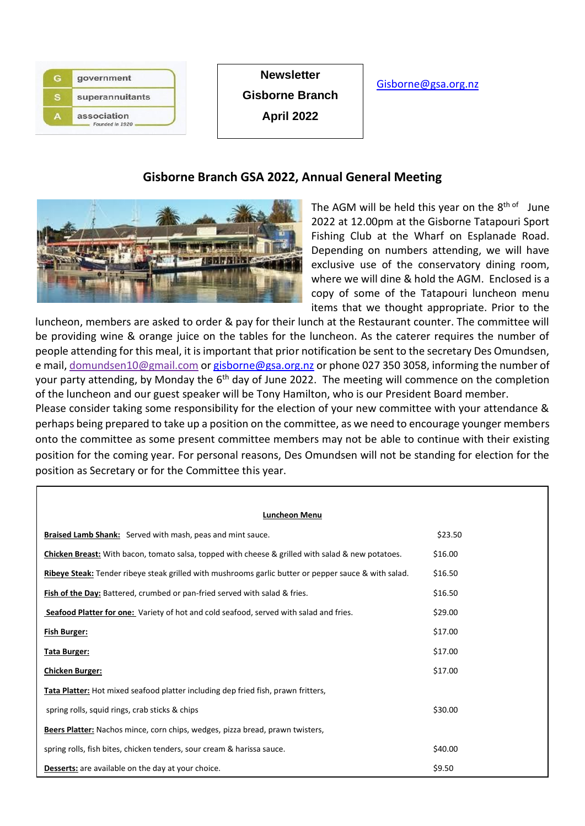| government                     |
|--------------------------------|
| superannuitants                |
| association<br>Founded in 1920 |

**Newsletter Gisborne Branch April 2022**

### [Gisborne@gsa.org.nz](mailto:Gisborne@gsa.org.nz)

## **Gisborne Branch GSA 2022, Annual General Meeting**



The AGM will be held this year on the 8<sup>th of</sup> June 2022 at 12.00pm at the Gisborne Tatapouri Sport Fishing Club at the Wharf on Esplanade Road. Depending on numbers attending, we will have exclusive use of the conservatory dining room, where we will dine & hold the AGM. Enclosed is a copy of some of the Tatapouri luncheon menu items that we thought appropriate. Prior to the

luncheon, members are asked to order & pay for their lunch at the Restaurant counter. The committee will be providing wine & orange juice on the tables for the luncheon. As the caterer requires the number of people attending for this meal, it is important that prior notification be sent to the secretary Des Omundsen, e mail, domundsen10@gmail.com o[r gisborne@gsa.org.nz](mailto:gisborne@gsa.org.nz) or phone 027 350 3058, informing the number of your party attending, by Monday the 6<sup>th</sup> day of June 2022. The meeting will commence on the completion of the luncheon and our guest speaker will be Tony Hamilton, who is our President Board member.

Please consider taking some responsibility for the election of your new committee with your attendance & perhaps being prepared to take up a position on the committee, as we need to encourage younger members onto the committee as some present committee members may not be able to continue with their existing position for the coming year. For personal reasons, Des Omundsen will not be standing for election for the position as Secretary or for the Committee this year.

#### **Luncheon Menu**

| <b>Braised Lamb Shank:</b> Served with mash, peas and mint sauce.                                        | \$23.50 |  |  |
|----------------------------------------------------------------------------------------------------------|---------|--|--|
| <b>Chicken Breast:</b> With bacon, tomato salsa, topped with cheese & grilled with salad & new potatoes. | \$16.00 |  |  |
| Ribeye Steak: Tender ribeye steak grilled with mushrooms garlic butter or pepper sauce & with salad.     | \$16.50 |  |  |
| <b>Fish of the Day:</b> Battered, crumbed or pan-fried served with salad & fries.                        | \$16.50 |  |  |
| Seafood Platter for one: Variety of hot and cold seafood, served with salad and fries.                   | \$29.00 |  |  |
| <b>Fish Burger:</b>                                                                                      | \$17.00 |  |  |
| <u>Tata Burger:</u>                                                                                      | \$17.00 |  |  |
| <b>Chicken Burger:</b>                                                                                   | \$17.00 |  |  |
| <b>Tata Platter:</b> Hot mixed seafood platter including dep fried fish, prawn fritters,                 |         |  |  |
| spring rolls, squid rings, crab sticks & chips                                                           | \$30.00 |  |  |
| Beers Platter: Nachos mince, corn chips, wedges, pizza bread, prawn twisters,                            |         |  |  |
| spring rolls, fish bites, chicken tenders, sour cream & harissa sauce.                                   | \$40.00 |  |  |
| <b>Desserts:</b> are available on the day at your choice.                                                | \$9.50  |  |  |